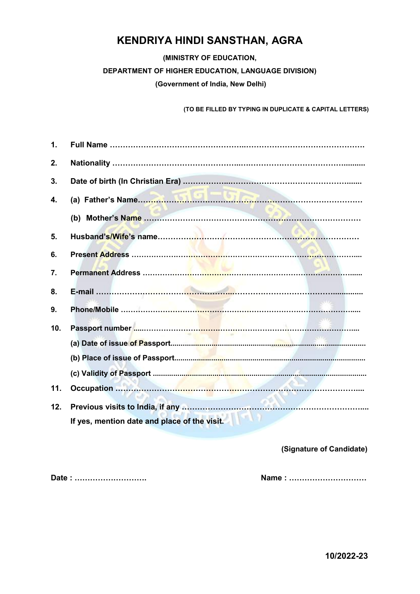## KENDRIYA HINDI SANSTHAN, AGRA

(MINISTRY OF EDUCATION,

DEPARTMENT OF HIGHER EDUCATION, LANGUAGE DIVISION)

(Government of India, New Delhi)

(TO BE FILLED BY TYPING IN DUPLICATE & CAPITAL LETTERS)

| 1.              |                                              |
|-----------------|----------------------------------------------|
| 2.              |                                              |
| 3.              |                                              |
| 4.              |                                              |
|                 | (b)                                          |
| 5.              |                                              |
| 6.              |                                              |
| 7.              |                                              |
| 8.              |                                              |
| 9.              |                                              |
| 10 <sub>1</sub> | <b>STATES</b>                                |
|                 |                                              |
|                 |                                              |
|                 |                                              |
| 11.             |                                              |
| 12.             |                                              |
|                 | If yes, mention date and place of the visit. |

#### (Signature of Candidate)

Date : ………………………. Name : …………………………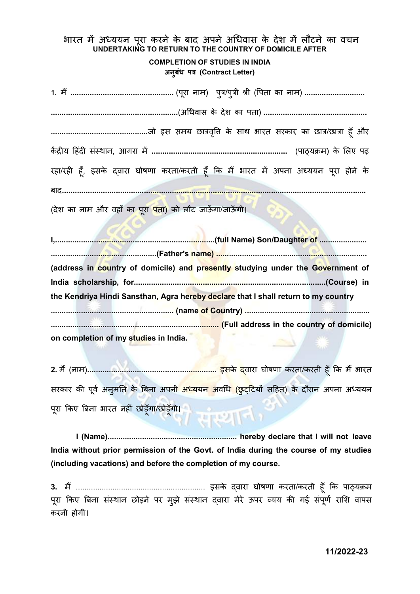भारत में अध्ययन परा करने के बाद अपने अधिवास के देश में लौटने का वचन UNDERTAKING TO RETURN TO THE COUNTRY OF DOMICILE AFTER

#### COMPLETION OF STUDIES IN INDIA अनूबंध पत्र (Contract Letter)

1. मɇ................................................ (परूा नाम) पğु/पğुी Įी (ͪपता का नाम) ............................ ...........................................................(अͬधवास के देश का पता) ................................................ .............................................जो इस समय छाğवͪƣृ के साथ भारत सरकार का छाğ/छाğा हूँ और कɅ ġȣय Ǒहदं ȣ संèथान, आगरा मɅ ............................................................... (पाɫयĐम) के ͧलए पढ़ रहा/रही हूँ, इसके द्वारा घोषणा करता/करती हूँ कि मैं भारत में अपना अध्ययन पूरा होने के बाद............................................................................................................................................. (देश का नाम और वहाँ क<mark>ा पूरा पता</mark>) को लौट जाऊँगा/जाऊँगी।

I,..........................................................................(full Name) Son/Daughter of ...................... .................................................(Father's name) ...................................................................... (address in country of domicile) and presently studying under the Government of India scholarship, for.........................................................................................(Course) in the Kendriya Hindi Sansthan, Agra hereby declare that I shall return to my country ......................................................... (name of Country) .......................................................... .............................................................................. (Full address in the country of domicile) on completion of my studies in India.

2. म (नाम) <sup>ɇ</sup> ............................................................ इसके ɮवारा घोषणा करता/करती हूँ ͩक म भारत ɇ सरकार की पूर्व अनुमति के बिना अपन<mark>ी अध्ययन अ</mark>वध<mark>ि (छुट्टियों सहित) के दौरान</mark> अपना अध्ययन पूरा किए बिना भारत नहीं छोड़ूँगा/छोड़ूँगी। / सप्थान

I (Name)............................................................ hereby declare that I will not leave India without prior permission of the Govt. of India during the course of my studies (including vacations) and before the completion of my course.

3. मɇ............................................................ इसके ɮवारा घोषणा करता/करती हूँ ͩक पाɫयĐम पुरा किए बिना संस्थान छोड़ने पर मुझे संस्थान दवारा मेरे ऊपर व्यय की गई संपूर्ण राशि वापस करनी होगी।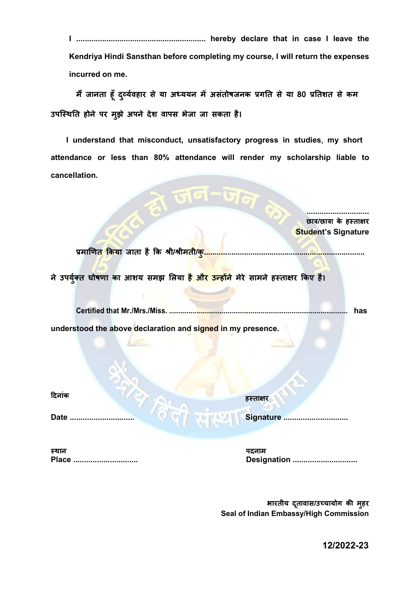Kendriya Hindi Sansthan before completing my course, I will return the expenses incurred on me.

मैं जानता हूँ दुर्व्यवहार से या अध्ययन में असंतोषजनक प्रगति से या 80 प्रतिशत से कम उपस्थिति होने पर मुझे अपने देश वापस भेजा जा सकता है।

I understand that misconduct, unsatisfactory progress in studies, my short attendance or less than 80% attendance will render my scholarship liable to cancellation.

 $\sim \pi$ d-G $\sim$ 

|                                                                                                                                                        | छात्र/छात्रा के हस्ताक्षर  |
|--------------------------------------------------------------------------------------------------------------------------------------------------------|----------------------------|
|                                                                                                                                                        | <b>Student's Signature</b> |
| प्रमाणित किया जाता है कि श्री/श्रीमती/ <mark>क</mark> ृ<br>ने उपर्युक्त घोषणा का आशय समझ लिया <mark>है और उन्होंने</mark> मेरे सामने हस्ताक्षर किए है। |                            |
| <b>Certified that Mr./Mrs./Miss</b>                                                                                                                    | has                        |
|                                                                                                                                                        |                            |
| understood the above declaration and signed in my presence.                                                                                            |                            |
| दिनांक                                                                                                                                                 | हस्ताक्षर                  |
| <b>Date</b>                                                                                                                                            | <b>Signature</b>           |
| स्थान                                                                                                                                                  | पदनाम                      |
| <b>Place</b>                                                                                                                                           | <b>Designation</b>         |

भारतीय दूतावास/उच्चायोग की मुहर Seal of Indian Embassy/High Commission

12/2022-23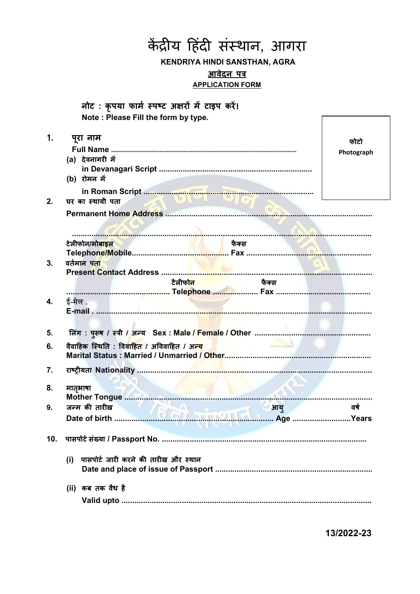**KENDRIYA HINDI SANSTHAN, AGRA** आवेदन पत्र **APPLICATION FORM** नोट: कृपया फार्म स्पष्ट अक्षरों में टाइप करें। Note: Please Fill the form by type.  $\mathbf{1}$ . पुरा नाम फोटो Photograph (a) देवनागरी में (b) रोमन में  $2.$ घर का स्थायी पता टेलीफोन/मोबाइल फैक्स  $3.$ वर्तमान पता टैलीफोन फैक्स ई-मेल. 4. 5. 6. वैवाहिक स्थिति : विवाहित / अविवाहित / अ<mark>न्य</mark> 7. 8. मातभाषा 9. जन्म की तारीख आय ਰर्ष 10. पासपोर्ट संख्या / Passport No. ……………………………………………………………………………………… (i) पासपोर्ट जारी करने की तारीख और स्थान (ii) कब तक वैध है 

केंद्रीय हिंदी संस्थान, आगरा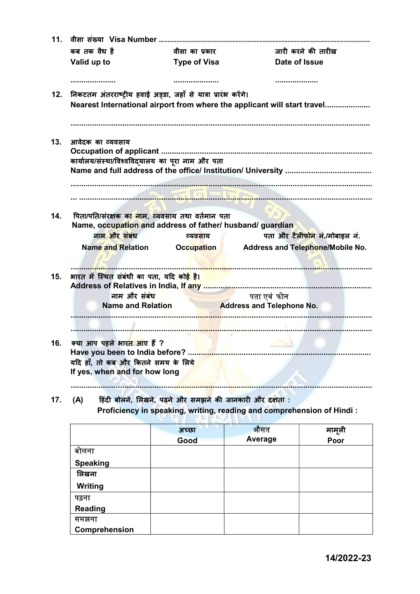| 11.                                                                  |                                                                 |                                                                          |  |  |
|----------------------------------------------------------------------|-----------------------------------------------------------------|--------------------------------------------------------------------------|--|--|
| कब तक वैध है                                                         | वीसा का प्रकार                                                  | जारी करने की तारीख                                                       |  |  |
| Valid up to                                                          | <b>Type of Visa</b>                                             | Date of Issue                                                            |  |  |
|                                                                      |                                                                 |                                                                          |  |  |
| 12.                                                                  | निकटतम अंतरराष्ट्रीय हवाई अड्डा, जहाँ से यात्रा प्रारंभ करेंगे। |                                                                          |  |  |
|                                                                      |                                                                 | Nearest International airport from where the applicant will start travel |  |  |
|                                                                      |                                                                 |                                                                          |  |  |
| 13.<br>आवेदक का व्यवसाय                                              |                                                                 |                                                                          |  |  |
|                                                                      |                                                                 |                                                                          |  |  |
|                                                                      | कार्यालय/संस्था/विश्वविद्यालय का पूरा नाम और पता                |                                                                          |  |  |
|                                                                      |                                                                 |                                                                          |  |  |
|                                                                      |                                                                 |                                                                          |  |  |
|                                                                      |                                                                 |                                                                          |  |  |
| 14.                                                                  | पिता/पति/संरक्षक का नाम, व्यवसाय तथा वर्तमान पता                |                                                                          |  |  |
|                                                                      | Name, occupation and address of father/ husband/ guardian       |                                                                          |  |  |
| नाम और संबंध                                                         | व्यवसाय                                                         | पता और टैलीफोन नं./मोबाइल नं.                                            |  |  |
| <b>Name and Relation</b>                                             | <b>Occupation</b>                                               | <b>Address and Telephone/Mobile No.</b>                                  |  |  |
|                                                                      |                                                                 |                                                                          |  |  |
| 15.                                                                  | भारत में स्थित संबंधी का पता, यदि कोई है।                       |                                                                          |  |  |
|                                                                      |                                                                 |                                                                          |  |  |
|                                                                      | नाम और संबंध                                                    | पता एवं फोन                                                              |  |  |
|                                                                      | Name and Relation                                               | <b>Address and Telephone No.</b>                                         |  |  |
|                                                                      |                                                                 |                                                                          |  |  |
|                                                                      |                                                                 |                                                                          |  |  |
| क्या आप पहले भारत आए हैं ?                                           |                                                                 |                                                                          |  |  |
|                                                                      |                                                                 |                                                                          |  |  |
| यदि हाँ, तो कब और कितने समय के लिये<br>If yes, when and for how long |                                                                 |                                                                          |  |  |
|                                                                      |                                                                 |                                                                          |  |  |
|                                                                      |                                                                 |                                                                          |  |  |
| 17.<br>(A)                                                           | हिंदी बोलने, लिखने, पढ़ने और समझने की जानकारी और दक्षता :       | Proficiency in speaking, writing, reading and comprehension of Hindi:    |  |  |
|                                                                      |                                                                 |                                                                          |  |  |

|                 | अच्छा | औसत            | मामूली |
|-----------------|-------|----------------|--------|
|                 | Good  | <b>Average</b> | Poor   |
| बोलना           |       |                |        |
| <b>Speaking</b> |       |                |        |
| लिखना           |       |                |        |
| <b>Writing</b>  |       |                |        |
| पढ़ना           |       |                |        |
| <b>Reading</b>  |       |                |        |
| समझना           |       |                |        |
| Comprehension   |       |                |        |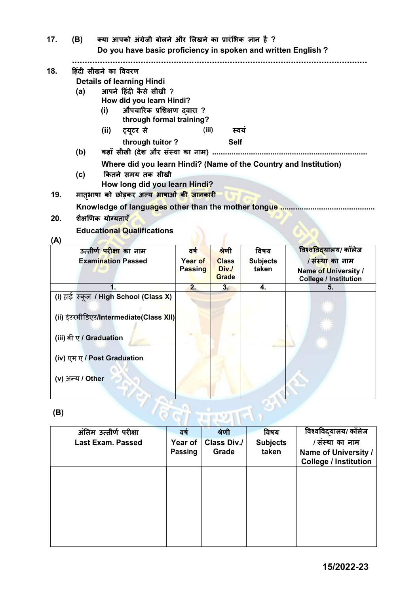| 17. | (B)                           | क्या आपको अंग्रेजी बोलने और लिखने का प्रारंभिक ज्ञान है ?<br>Do you have basic proficiency in spoken and written English? |  |  |  |  |  |
|-----|-------------------------------|---------------------------------------------------------------------------------------------------------------------------|--|--|--|--|--|
|     |                               |                                                                                                                           |  |  |  |  |  |
| 18. |                               | हिंदी सीखने का विवरण                                                                                                      |  |  |  |  |  |
|     |                               | <b>Details of learning Hindi</b>                                                                                          |  |  |  |  |  |
|     | आपने हिंदी कैसे सीखी ?<br>(a) |                                                                                                                           |  |  |  |  |  |
|     |                               | How did you learn Hindi?                                                                                                  |  |  |  |  |  |
|     |                               | औपचारिक प्रशिक्षण दवारा ?<br>(i)                                                                                          |  |  |  |  |  |
|     |                               | through formal training?                                                                                                  |  |  |  |  |  |
|     |                               | (iii)<br>ट्यूटर से<br>(ii)<br>स्वय                                                                                        |  |  |  |  |  |
|     |                               | through tuitor?<br><b>Self</b>                                                                                            |  |  |  |  |  |
|     | (b)                           | कहाँ सीखी (देश और संस्था का नाम)                                                                                          |  |  |  |  |  |
|     |                               | Where did you learn Hindi? (Name of the Country and Institution)                                                          |  |  |  |  |  |
|     | (c)                           | कितने समय तक सीखी                                                                                                         |  |  |  |  |  |
|     |                               | How long did you learn Hindi?                                                                                             |  |  |  |  |  |
| 19. |                               | मातृभाषा को छोड़कर अन्य भाषाओं की जानकारी                                                                                 |  |  |  |  |  |
|     |                               | Knowledge of languages other than the mother tongue.                                                                      |  |  |  |  |  |
| 20. | शैक्षणिक योग्यताएँ            |                                                                                                                           |  |  |  |  |  |
|     |                               | <b>Educational Qualifications</b>                                                                                         |  |  |  |  |  |
| (A) |                               |                                                                                                                           |  |  |  |  |  |

## **Educational Qualifications**

## $(A)$

| \* */                                   |         |                       |                 |                                                      |
|-----------------------------------------|---------|-----------------------|-----------------|------------------------------------------------------|
| उत्तीर्ण <mark>परीक्षा</mark> का नाम    | वर्ष    | श्रेणी                | विषय            | विश्वविदयालय/ कॉलेज                                  |
| <b>Examination Passed</b>               | Year of | <b>Class</b>          | <b>Subjects</b> | <del>/ संस्था</del> का नाम                           |
|                                         | Passing | Div./<br><b>Grade</b> | taken           | Name of University /<br><b>College / Institution</b> |
|                                         | 2.      | 3 <sub>1</sub>        | 4.              | 5.                                                   |
| (i) हाई स्कूल / High School (Class X)   |         |                       |                 |                                                      |
| (ii) इंटरमीडिएट/Intermediate(Class XII) |         |                       |                 |                                                      |
| (iii) बी ए / Graduation                 |         |                       |                 |                                                      |
| (iv) एम ए / Post Graduation             |         |                       |                 |                                                      |
| (v) अन्य / Other                        |         |                       |                 |                                                      |
| (B)                                     |         |                       |                 |                                                      |

## $(B)$

| (B) |                          |                           |                             |                          |                                                                         |
|-----|--------------------------|---------------------------|-----------------------------|--------------------------|-------------------------------------------------------------------------|
|     | अंतिम उत्तीर्ण परीक्षा   | वर्ष                      | श्रेणी                      | विषय                     | विश्वविद्यालय/ कॉलेज                                                    |
|     | <b>Last Exam. Passed</b> | Year of<br><b>Passing</b> | <b>Class Div./</b><br>Grade | <b>Subjects</b><br>taken | / संस्था का नाम<br>Name of University /<br><b>College / Institution</b> |
|     |                          |                           |                             |                          |                                                                         |
|     |                          |                           |                             |                          |                                                                         |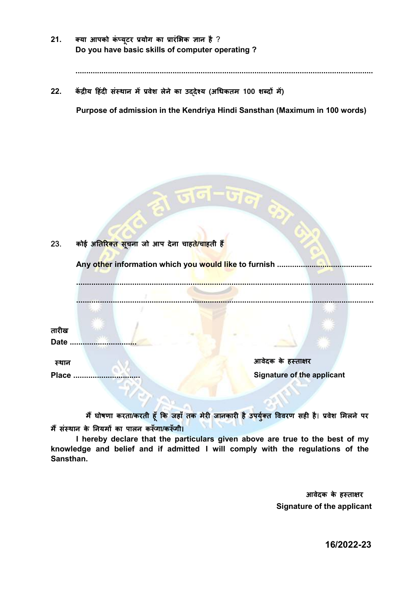$21.$ क्या आपको कंप्यूटर प्रयोग का प्रारंभिक ज्ञान है ? Do you have basic skills of computer operating ?

 $22.$ केंद्रीय हिंदी संस्थान में प्रवेश लेने का उददेश्य (अधिकतम 100 शब्दों में)

Purpose of admission in the Kendriya Hindi Sansthan (Maximum in 100 words)

| 23.          | कोई अतिरिक्त सूचना जो आप देना चाहते/चाहती है <mark>ं</mark> |                                   |  |
|--------------|-------------------------------------------------------------|-----------------------------------|--|
|              | Any other information which you would like to furnish       |                                   |  |
|              |                                                             |                                   |  |
| तारीख        |                                                             |                                   |  |
| <b>Date</b>  |                                                             |                                   |  |
| स्थान        |                                                             | आवेदक के हस्ताक्षर                |  |
| <b>Place</b> |                                                             | <b>Signature of the applicant</b> |  |
|              |                                                             |                                   |  |

 $\sim$   $\sim$   $\sim$   $\sim$ 

मैं घोषणा करता/करती हूँ कि जहाँ तक मेरी जानकारी है उपर्युक्त विवरण सही है। प्रवेश मिलने पर मैं संस्थान के नियमों का पालन करूँगा/करूँगी।

I hereby declare that the particulars given above are true to the best of my knowledge and belief and if admitted I will comply with the regulations of the Sansthan.

> आवेदक के हस्ताक्षर **Signature of the applicant**

> > 16/2022-23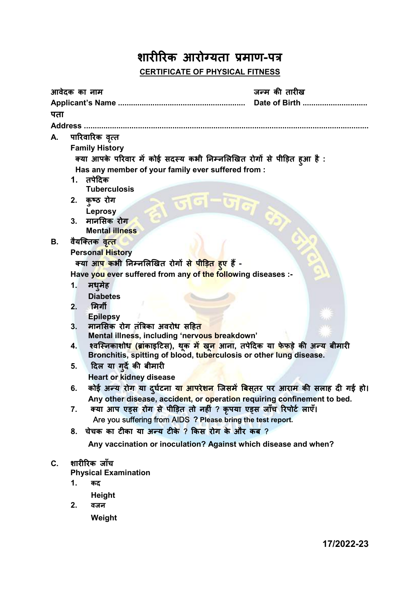# शारीरिक आरोग्यता प्रमाण-पत्र CERTIFICATE OF PHYSICAL FITNESS

|                |                                                              | आवेदक का नाम                                                                                               | जन्म की तारीख |  |  |  |
|----------------|--------------------------------------------------------------|------------------------------------------------------------------------------------------------------------|---------------|--|--|--|
|                |                                                              |                                                                                                            | Date of Birth |  |  |  |
| पता            |                                                              |                                                                                                            |               |  |  |  |
| <b>Address</b> |                                                              |                                                                                                            |               |  |  |  |
| А.             |                                                              | पारिवारिक वृत्त                                                                                            |               |  |  |  |
|                |                                                              | <b>Family History</b>                                                                                      |               |  |  |  |
|                |                                                              | क्या आपके परिवार में कोई सदस्य कभी निम्नलिखित रोगों से पीड़ित हूआ है :                                     |               |  |  |  |
|                |                                                              | Has any member of your family ever suffered from:                                                          |               |  |  |  |
|                |                                                              | 1. तपेदिक                                                                                                  |               |  |  |  |
|                |                                                              | <b>Tuberculosis</b>                                                                                        |               |  |  |  |
|                | 2.                                                           | कुष्ठ रोग<br><u> लानानान</u>                                                                               |               |  |  |  |
|                | 3.                                                           | <b>Leprosy</b><br>मानसिक रोग                                                                               |               |  |  |  |
|                |                                                              | <b>Mental illness</b>                                                                                      |               |  |  |  |
| В.             |                                                              | वैयक्तिक वृत् <mark>त</mark>                                                                               |               |  |  |  |
|                |                                                              | <b>Personal History</b>                                                                                    |               |  |  |  |
|                |                                                              | क्या आ <mark>प क</mark> भी निम्नलिखित रोगों से <mark>पीड़ित हुए</mark> हैं -                               |               |  |  |  |
|                | Have you ever suffered from any of the following diseases :- |                                                                                                            |               |  |  |  |
|                | 1.                                                           | मधुमेह                                                                                                     |               |  |  |  |
|                |                                                              | <b>Diabetes</b>                                                                                            |               |  |  |  |
|                | 2.                                                           | मिर्गी                                                                                                     |               |  |  |  |
|                |                                                              | <b>Epilepsy</b>                                                                                            |               |  |  |  |
|                | 3.                                                           | मानसिक रोग तंत्रिका अवरोध सहित                                                                             |               |  |  |  |
|                |                                                              | Mental illness, including 'nervous breakdown'                                                              |               |  |  |  |
|                | 4.                                                           | श्वस्निकाशोध <mark>' (ब्रां</mark> काइटिस), थूक <mark>में खून </mark> आना, तपेदिक या फेफड़े की अन्य बीमारी |               |  |  |  |
|                | 5.                                                           | Bronchitis, spitting of blood, tuberculosis or other lung disease.<br>दिल या गर्दे की बीमारी               |               |  |  |  |
|                |                                                              | <b>Heart or kidney disease</b>                                                                             |               |  |  |  |
|                | 6.                                                           | कोई अन्य रोग या दुर्घटना य <mark>ा आपरेशन जिसमें बिस</mark> ्तर पर आराम की सलाह दी गई हो।                  |               |  |  |  |
|                |                                                              | Any other disease, accident, or operation requiring confinement to bed.                                    |               |  |  |  |
|                | 7.                                                           | क्या आप एड्स रोग से पीड़ित तो नहीं ? कृपया एड्स जाँच रिपोर्ट लाएँ।                                         |               |  |  |  |
|                |                                                              | Are you suffering from AIDS ? Please bring the test report.                                                |               |  |  |  |
|                | 8.                                                           | चेचक का टीका या अन्य टीके ? किस रोग के और कब ?                                                             |               |  |  |  |
|                |                                                              | Any vaccination or inoculation? Against which disease and when?                                            |               |  |  |  |
|                |                                                              |                                                                                                            |               |  |  |  |
| C.             |                                                              | शारीरिक जाँच                                                                                               |               |  |  |  |
|                | 1.                                                           | <b>Physical Examination</b><br>कद                                                                          |               |  |  |  |
|                |                                                              |                                                                                                            |               |  |  |  |
|                |                                                              | <b>Height</b>                                                                                              |               |  |  |  |
|                | 2.                                                           | वजन                                                                                                        |               |  |  |  |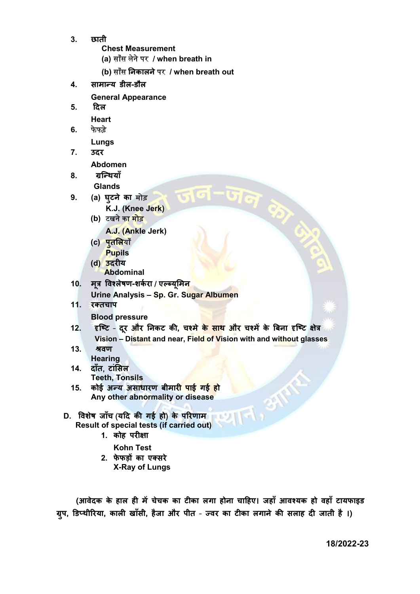- 3. छाती
	- Chest Measurement
	- (a) सासँ लनेेपर / when breath in
	- (b) साँस निकालने पर / when breath out
- 4. सामान्य डील-डौल
	- General Appearance
- 5. Ǒदल
	- Heart
- 6. फे फड़े

Lungs

- 7. उदर Abdomen
- 8. ग्रन्थियाँ Glands
- 9. (a) घुटने का मोड़
	- K.J. (Knee Jerk)
		- (b) टखने का मोड़
			- A.J. (Ankle Jerk)
		- (c) पुतलियाँ **Pupils**
		- (d) उदरीय
		- Abdominal
- 10. मुत्र विश्लेषण-शर्करा / एल्ब्युमिन
	- Urine Analysis Sp. Gr. Sugar Albumen
- 11. रक्तचाप

### Blood pressure

12. हष्टि - दर और निकट की, चश्मे <mark>के साथ</mark> और चश्में के बिना हष्टि क्षेत्र Vision - Distant and near, Field of Vision with and without glasses

जन

- $13.$   $\overline{a}$  $\overline{a}$ **Hearing**
- 14. दाँत, टांͧसल Teeth, Tonsils
- 15. कोई अन्य असाधारण बीमार<mark>ी पाई गई हो</mark> Any other abnormality or disease
- D. विशेष जाँच (यदि की गई हो) के परिणाम 四下 Result of special tests (if carried out)
	- 1. कोह परीक्षा
		- Kohn Test
	- 2. फेफड़ों का एक्सरे X-Ray of Lungs

(आवेदक के हाल ही में चेचक का टीका लगा होना चाहिए। जहाँ आवश्यक हो वहाँ टायफाइड ग्रुप, डिप्थीरिया, काली खाँसी, हैजा और पीत - ज्वर का टीका लगाने की सलाह दी जाती है ।)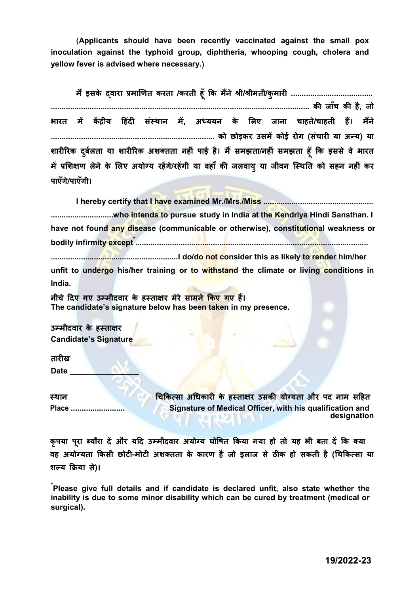(Applicants should have been recently vaccinated against the small pox inoculation against the typhoid group, diphtheria, whooping cough, cholera and yellow fever is advised where necessary.)

म इसके ɇ ɮवारा Ĥमाͨणत करता /करती हूँ ͩक मने ɇ Įी/Įीमती/कुमारȣ ...................................... ........................................................................................................................ कȧ जाँच कȧ है, जो भारत में केंदीय हिंदी संस्थान में. अध्ययन के लिए जाना चाहते/चाहती हैं। मैंने ............................................................................ को छोड़कर उसमɅ कोई रोग (सचं ारȣ या अÛ य) या शारीरिक दर्बलता या शारीरिक अशक्तता नहीं पाई है। मैं समझता/नहीं समझता हूँ कि इससे वे भारत में प्रशिक्षण लेने के लिए अयोग्य रहेंगे/रहेंगी या वहाँ की जलवाय या जीवन स्थिति को सहन नहीं कर पाएँगे/पाएँगी।

I hereby certify that I have examined Mr./Mrs./Miss ...................................................

.............................who intends to pursue study in India at the Kendriya Hindi Sansthan. I have not found any disease (communicable or otherwise), constitutional weakness or bodily infirmity except\* ............................................................................................................

...........................................................I do/do not consider this as likely to render him/her unfit to undergo his/her training or to withstand the climate or living conditions in India.

नीचे दिए गए उम्मीदवार के हस्ताक्षर मेरे सामने किए गए हैं। The candidate's signature below has been taken in my presence.

उम्मीदवार के हस्ताक्षर Candidate's Signature

तारीख

Date \_\_\_\_\_\_\_\_\_\_\_\_\_\_\_\_

<u>चिकित्सा अधिकारी के हस्ताक्षर उसकी योग्यता और पद नाम सहित</u> Place ......................... Signature of Medical Officer, with his qualification and designation

कृपया पूरा ब्यौरा दें और यदि उम्मीदवार अयोग्य घोषित किया गया हो तो यह भी बता दें कि क्या वह अयोग्यता किसी छोटी-मोटी अशक्तता के कारण है जो इलाज से ठीक हो सकती है (चिकित्सा या शल्य क्रिया से)।

\*Please give full details and if candidate is declared unfit, also state whether the inability is due to some minor disability which can be cured by treatment (medical or surgical).